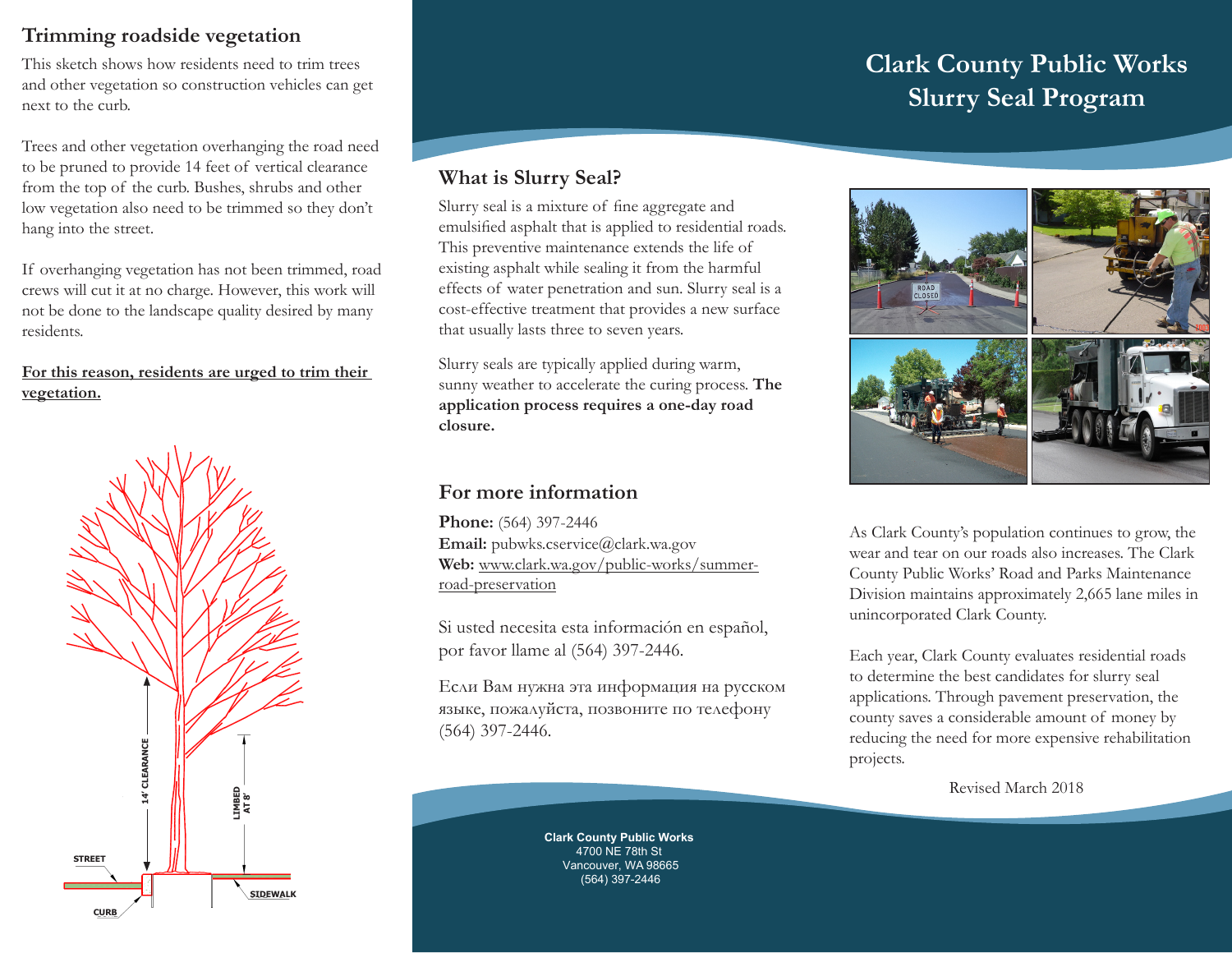## **Trimming roadside vegetation**

This sketch shows how residents need to trim trees and other vegetation so construction vehicles can get next to the curb.

Trees and other vegetation overhanging the road need to be pruned to provide 14 feet of vertical clearance from the top of the curb. Bushes, shrubs and other low vegetation also need to be trimmed so they don't hang into the street.

If overhanging vegetation has not been trimmed, road crews will cut it at no charge. However, this work will not be done to the landscape quality desired by many residents.

## **For this reason, residents are urged to trim their vegetation.**



# **What is Slurry Seal?**

Slurry seal is a mixture of fine aggregate and emulsified asphalt that is applied to residential roads. This preventive maintenance extends the life of existing asphalt while sealing it from the harmful effects of water penetration and sun. Slurry seal is a cost-effective treatment that provides a new surface that usually lasts three to seven years.

Slurry seals are typically applied during warm, sunny weather to accelerate the curing process. **The application process requires a one-day road closure.**

## **For more information**

**Phone:** (564) 397-2446 **Email:** pubwks.cservice@clark.wa.gov **Web:** www.clark.wa.gov/public-works/summerroad-preservation

Si usted necesita esta información en español, por favor llame al (564) 397-2446.

Если Вам нужна эта информация на русском языке, пожалуйста, позвоните по телефону (564) 397-2446.

# **Clark County Public Works Slurry Seal Program**



As Clark County's population continues to grow, the wear and tear on our roads also increases. The Clark County Public Works' Road and Parks Maintenance Division maintains approximately 2,665 lane miles in unincorporated Clark County.

Each year, Clark County evaluates residential roads to determine the best candidates for slurry seal applications. Through pavement preservation, the county saves a considerable amount of money by reducing the need for more expensive rehabilitation projects.

Revised March 2018

**Clark County Public Works** 4700 NE 78th St Vancouver, WA 98665 (564) 397-2446